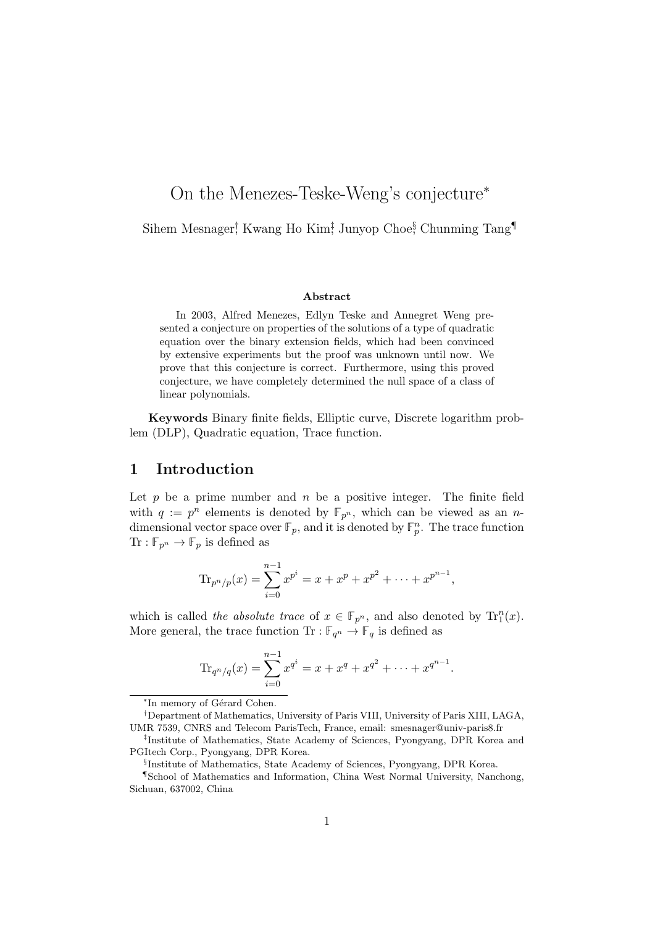# On the Menezes-Teske-Weng's conjecture<sup>∗</sup>

Sihem Mesnager<sup>†</sup>, Kwang Ho Kim<sup>‡</sup>, Junyop Choe<sup>§</sup>, Chunming Tang<sup>¶</sup>

#### Abstract

In 2003, Alfred Menezes, Edlyn Teske and Annegret Weng presented a conjecture on properties of the solutions of a type of quadratic equation over the binary extension fields, which had been convinced by extensive experiments but the proof was unknown until now. We prove that this conjecture is correct. Furthermore, using this proved conjecture, we have completely determined the null space of a class of linear polynomials.

Keywords Binary finite fields, Elliptic curve, Discrete logarithm problem (DLP), Quadratic equation, Trace function.

#### 1 Introduction

Let  $p$  be a prime number and  $n$  be a positive integer. The finite field with  $q := p^n$  elements is denoted by  $\mathbb{F}_{p^n}$ , which can be viewed as an *n*dimensional vector space over  $\mathbb{F}_p$ , and it is denoted by  $\mathbb{F}_p^n$ . The trace function  $\text{Tr}: \mathbb{F}_{p^n} \to \mathbb{F}_p$  is defined as

$$
\mathrm{Tr}_{p^n/p}(x) = \sum_{i=0}^{n-1} x^{p^i} = x + x^p + x^{p^2} + \dots + x^{p^{n-1}},
$$

which is called the absolute trace of  $x \in \mathbb{F}_{p^n}$ , and also denoted by  $\text{Tr}^n_1(x)$ . More general, the trace function  $\text{Tr} : \mathbb{F}_{q^n} \to \mathbb{F}_q$  is defined as

$$
\text{Tr}_{q^n/q}(x) = \sum_{i=0}^{n-1} x^{q^i} = x + x^q + x^{q^2} + \dots + x^{q^{n-1}}.
$$

<sup>\*</sup>In memory of Gérard Cohen.

<sup>†</sup>Department of Mathematics, University of Paris VIII, University of Paris XIII, LAGA, UMR 7539, CNRS and Telecom ParisTech, France, email: smesnager@univ-paris8.fr

<sup>‡</sup> Institute of Mathematics, State Academy of Sciences, Pyongyang, DPR Korea and PGItech Corp., Pyongyang, DPR Korea.

<sup>§</sup> Institute of Mathematics, State Academy of Sciences, Pyongyang, DPR Korea.

<sup>¶</sup>School of Mathematics and Information, China West Normal University, Nanchong, Sichuan, 637002, China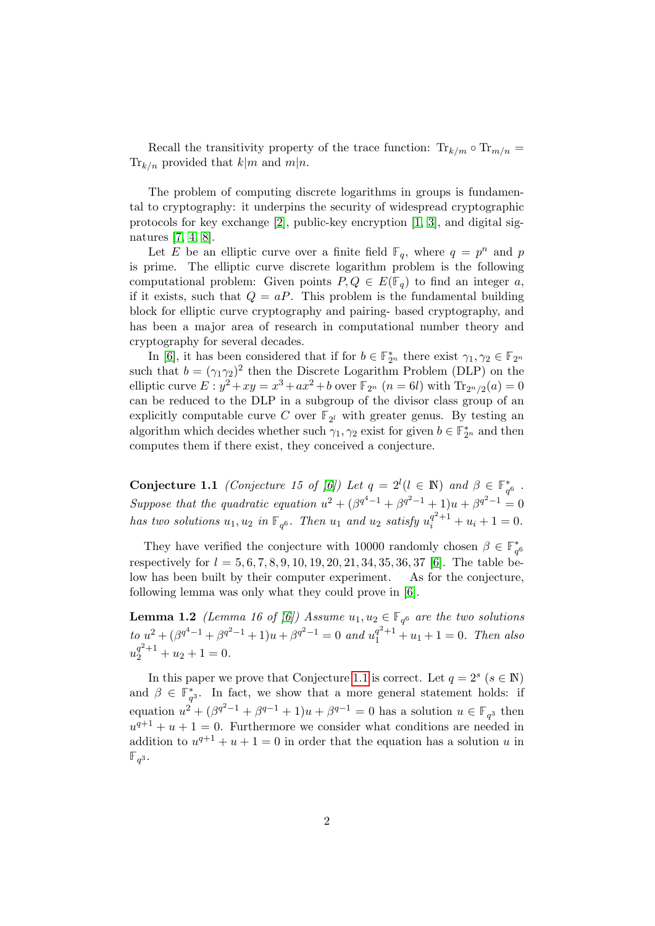Recall the transitivity property of the trace function:  $\text{Tr}_{k/m} \circ \text{Tr}_{m/n} =$  $\text{Tr}_{k/n}$  provided that  $k|m$  and  $m|n$ .

The problem of computing discrete logarithms in groups is fundamental to cryptography: it underpins the security of widespread cryptographic protocols for key exchange [\[2\]](#page-9-0), public-key encryption [\[1,](#page-9-1) [3\]](#page-9-2), and digital signatures [\[7,](#page-9-3) [4,](#page-9-4) [8\]](#page-9-5).

Let E be an elliptic curve over a finite field  $\mathbb{F}_q$ , where  $q = p^n$  and p is prime. The elliptic curve discrete logarithm problem is the following computational problem: Given points  $P, Q \in E(\mathbb{F}_q)$  to find an integer a, if it exists, such that  $Q = aP$ . This problem is the fundamental building block for elliptic curve cryptography and pairing- based cryptography, and has been a major area of research in computational number theory and cryptography for several decades.

In [\[6\]](#page-9-6), it has been considered that if for  $b \in \mathbb{F}_{2^n}^*$  there exist  $\gamma_1, \gamma_2 \in \mathbb{F}_{2^n}$ such that  $b = (\gamma_1 \gamma_2)^2$  then the Discrete Logarithm Problem (DLP) on the elliptic curve  $E: y^2 + xy = x^3 + ax^2 + b$  over  $\mathbb{F}_{2^n}$   $(n = 6l)$  with  $\text{Tr}_{2^n/2}(a) = 0$ can be reduced to the DLP in a subgroup of the divisor class group of an explicitly computable curve C over  $\mathbb{F}_{2^l}$  with greater genus. By testing an algorithm which decides whether such  $\gamma_1, \gamma_2$  exist for given  $b \in \mathbb{F}_{2^n}^*$  and then computes them if there exist, they conceived a conjecture.

<span id="page-1-0"></span>**Conjecture 1.1** *(Conjecture 15 of [\[6\]](#page-9-6))* Let  $q = 2^l (l \in \mathbb{N})$  and  $\beta \in \mathbb{F}_{q^6}^*$ . Suppose that the quadratic equation  $u^2 + (\beta^{q^4-1} + \beta^{q^2-1} + 1)u + \beta^{q^2-1} = 0$ has two solutions  $u_1, u_2$  in  $\mathbb{F}_{q^6}$ . Then  $u_1$  and  $u_2$  satisfy  $u_i^{q^2+1} + u_i + 1 = 0$ .

They have verified the conjecture with 10000 randomly chosen  $\beta \in \mathbb{F}_{q^6}^*$ respectively for  $l = 5, 6, 7, 8, 9, 10, 19, 20, 21, 34, 35, 36, 37$  [\[6\]](#page-9-6). The table below has been built by their computer experiment. As for the conjecture, following lemma was only what they could prove in [\[6\]](#page-9-6).

**Lemma 1.2** (Lemma 16 of [\[6\]](#page-9-6)) Assume  $u_1, u_2 \in \mathbb{F}_{q^6}$  are the two solutions  $\int_0^{\infty} \int_0^{u^2} e^{u^2} du + \int_0^{u^2} e^{u^2} du + \int_0^{u^2} e^{u^2} du + \int_0^{u^2} du + \int_0^{u^2} du + \int_0^{u^2} du + \int_0^{u^2} du + \int_0^{u^2} du + \int_0^{u^2} du + \int_0^{u^2} du + \int_0^{u^2} du + \int_0^{u^2} du + \int_0^{u^2} du + \int_0^{u^2} du + \int_0^{u^2} du + \int_0^{u^2} du + \int_0^{u^2} du + \int_0^{u$  $u_2^{q^2+1} + u_2 + 1 = 0.$ 

In this paper we prove that Conjecture [1.1](#page-1-0) is correct. Let  $q = 2^s$   $(s \in \mathbb{N})$ and  $\beta \in \mathbb{F}_{q^3}^*$ . In fact, we show that a more general statement holds: if equation  $u^2 + (\beta^{q^2-1} + \beta^{q-1} + 1)u + \beta^{q-1} = 0$  has a solution  $u \in \mathbb{F}_{q^3}$  then  $u^{q+1} + u + 1 = 0$ . Furthermore we consider what conditions are needed in addition to  $u^{q+1} + u + 1 = 0$  in order that the equation has a solution u in  $\mathbb{F}_{q^3}$ .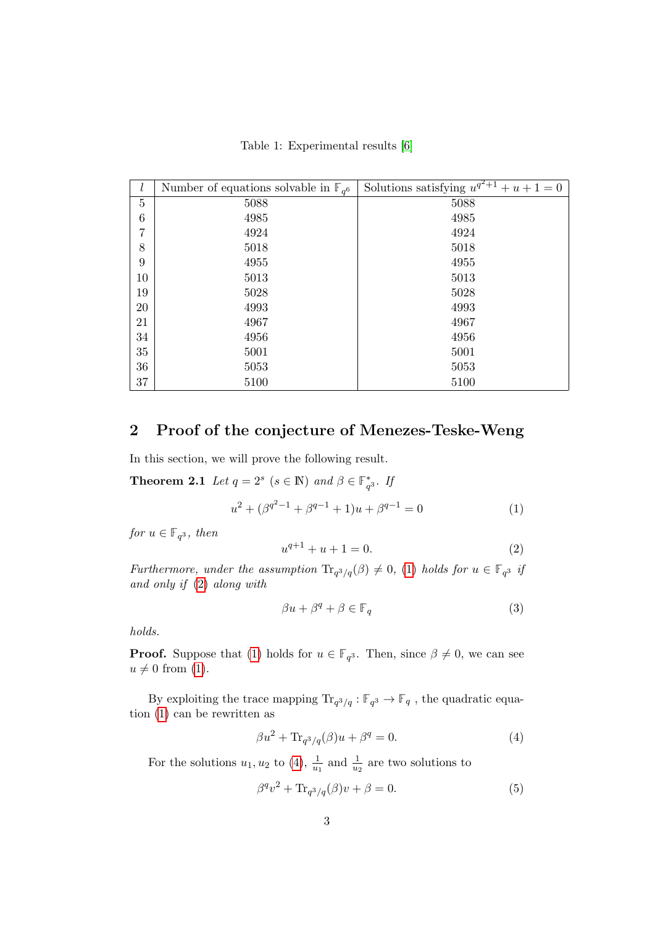Table 1: Experimental results [\[6\]](#page-9-6)

| l      | Number of equations solvable in $\mathbb{F}_{q^6}$ | Solutions satisfying $u^{q^2+1}$<br>$+u+1=0$ |
|--------|----------------------------------------------------|----------------------------------------------|
| 5      | 5088                                               | 5088                                         |
| 6      | 4985                                               | 4985                                         |
| 7      | 4924                                               | 4924                                         |
| 8      | 5018                                               | 5018                                         |
| 9      | 4955                                               | 4955                                         |
| 10     | 5013                                               | 5013                                         |
| 19     | 5028                                               | 5028                                         |
| $20\,$ | 4993                                               | 4993                                         |
| 21     | 4967                                               | 4967                                         |
| 34     | 4956                                               | 4956                                         |
| $35\,$ | 5001                                               | 5001                                         |
| 36     | 5053                                               | 5053                                         |
| 37     | 5100                                               | 5100                                         |

### 2 Proof of the conjecture of Menezes-Teske-Weng

In this section, we will prove the following result.

**Theorem 2.1** Let  $q = 2^s$   $(s \in \mathbb{N})$  and  $\beta \in \mathbb{F}_{q^3}^*$ . If

<span id="page-2-1"></span>
$$
u^{2} + (\beta^{q^{2}-1} + \beta^{q-1} + 1)u + \beta^{q-1} = 0
$$
\n(1)

for  $u \in \mathbb{F}_{q^3}$ , then

<span id="page-2-5"></span><span id="page-2-0"></span>
$$
u^{q+1} + u + 1 = 0.\t\t(2)
$$

Furthermore, under the assumption  $\text{Tr}_{q^3/q}(\beta) \neq 0$ , [\(1\)](#page-2-0) holds for  $u \in \mathbb{F}_{q^3}$  if and only if [\(2\)](#page-2-1) along with

<span id="page-2-4"></span>
$$
\beta u + \beta^q + \beta \in \mathbb{F}_q \tag{3}
$$

holds.

**Proof.** Suppose that [\(1\)](#page-2-0) holds for  $u \in \mathbb{F}_{q^3}$ . Then, since  $\beta \neq 0$ , we can see  $u \neq 0$  from [\(1\)](#page-2-0).

By exploiting the trace mapping  $\text{Tr}_{q^3/q}: \mathbb{F}_{q^3} \to \mathbb{F}_q$ , the quadratic equation [\(1\)](#page-2-0) can be rewritten as

<span id="page-2-3"></span><span id="page-2-2"></span>
$$
\beta u^2 + \text{Tr}_{q^3/q}(\beta)u + \beta^q = 0.
$$
\n(4)

For the solutions  $u_1, u_2$  to [\(4\)](#page-2-2),  $\frac{1}{u_1}$  and  $\frac{1}{u_2}$  are two solutions to

$$
\beta^q v^2 + \text{Tr}_{q^3/q}(\beta)v + \beta = 0.
$$
 (5)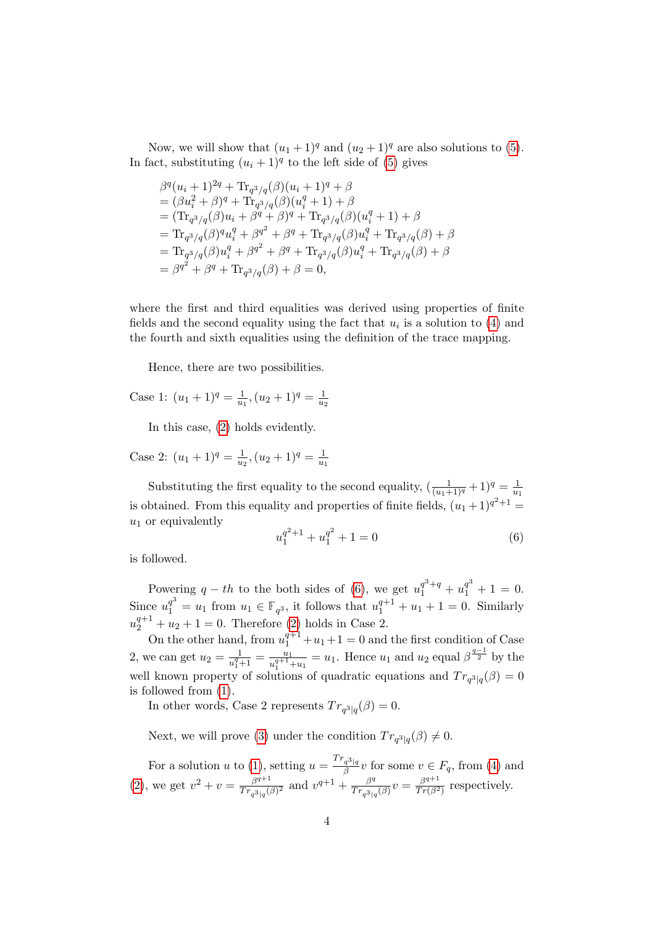Now, we will show that  $(u_1 + 1)^q$  and  $(u_2 + 1)^q$  are also solutions to [\(5\)](#page-2-3). In fact, substituting  $(u_i + 1)^q$  to the left side of [\(5\)](#page-2-3) gives

$$
\beta^{q}(u_{i} + 1)^{2q} + \text{Tr}_{q^{3}/q}(\beta)(u_{i} + 1)^{q} + \beta
$$
\n=  $(\beta u_{i}^{2} + \beta)^{q} + \text{Tr}_{q^{3}/q}(\beta)(u_{i}^{q} + 1) + \beta$   
\n=  $(\text{Tr}_{q^{3}/q}(\beta)u_{i} + \beta^{q} + \beta)^{q} + \text{Tr}_{q^{3}/q}(\beta)(u_{i}^{q} + 1) + \beta$   
\n=  $\text{Tr}_{q^{3}/q}(\beta)^{q}u_{i}^{q} + \beta^{q^{2}} + \beta^{q} + \text{Tr}_{q^{3}/q}(\beta)u_{i}^{q} + \text{Tr}_{q^{3}/q}(\beta) + \beta$   
\n=  $\text{Tr}_{q^{3}/q}(\beta)u_{i}^{q} + \beta^{q^{2}} + \beta^{q} + \text{Tr}_{q^{3}/q}(\beta)u_{i}^{q} + \text{Tr}_{q^{3}/q}(\beta) + \beta$   
\n=  $\beta^{q^{2}} + \beta^{q} + \text{Tr}_{q^{3}/q}(\beta) + \beta = 0$ ,

where the first and third equalities was derived using properties of finite fields and the second equality using the fact that  $u_i$  is a solution to [\(4\)](#page-2-2) and the fourth and sixth equalities using the definition of the trace mapping.

Hence, there are two possibilities.

Case 1: 
$$
(u_1 + 1)^q = \frac{1}{u_1}, (u_2 + 1)^q = \frac{1}{u_2}
$$

In this case, [\(2\)](#page-2-1) holds evidently.

Case 2:  $(u_1 + 1)^q = \frac{1}{u_1}$  $\frac{1}{u_2}$ ,  $(u_2 + 1)^q = \frac{1}{u_1}$  $u_1$ 

Substituting the first equality to the second equality,  $\left(\frac{1}{(u_1+1)^q} + 1\right)^q = \frac{1}{u}$  $\overline{u_1}$ is obtained. From this equality and properties of finite fields,  $(u_1 + 1)^{q^2+1} =$  $u_1$  or equivalently

<span id="page-3-0"></span>
$$
u_1^{q^2+1} + u_1^{q^2} + 1 = 0 \tag{6}
$$

is followed.

Powering  $q - th$  to the both sides of [\(6\)](#page-3-0), we get  $u_1^{q^3+q} + u_1^{q^3} + 1 = 0$ . Since  $u_1^{q^3} = u_1$  from  $u_1 \in \mathbb{F}_{q^3}$ , it follows that  $u_1^{q+1} + u_1 + 1 = 0$ . Similarly  $u_2^{q+1} + u_2 + 1 = 0$ . Therefore [\(2\)](#page-2-1) holds in Case 2.

On the other hand, from  $u_1^{q+1} + u_1 + 1 = 0$  and the first condition of Case 2, we can get  $u_2 = \frac{1}{u^q}$  $\frac{1}{u_1^q+1}=\frac{u_1}{u_1^{q+1}}$  $\frac{u_1}{u_1^{q+1}+u_1} = u_1$ . Hence  $u_1$  and  $u_2$  equal  $\beta^{\frac{q-1}{2}}$  by the well known property of solutions of quadratic equations and  $Tr_{q^3|q}(\beta) = 0$ is followed from [\(1\)](#page-2-0).

In other words, Case 2 represents  $Tr_{q^3|q}(\beta) = 0$ .

Next, we will prove [\(3\)](#page-2-4) under the condition  $Tr_{q^3|q}(\beta) \neq 0$ .

For a solution u to [\(1\)](#page-2-0), setting  $u = \frac{Tr_{q^3|q}}{q}$  $\frac{q^{3}|q}{\beta}v$  for some  $v \in F_q$ , from [\(4\)](#page-2-2) and [\(2\)](#page-2-1), we get  $v^2 + v = \frac{\beta^{q+1}}{Tr}$  $\frac{\beta^{q+1}}{Tr_{q^3|q}(\beta)^2}$  and  $v^{q+1} + \frac{\beta^q}{Tr_{q^3|q}}$  $\frac{\beta^q}{Tr_{q^3|q}(\beta)}v=\frac{\beta^{q+1}}{Tr(\beta^2)}$  $\frac{\beta^{q+1}}{Tr(\beta^2)}$  respectively.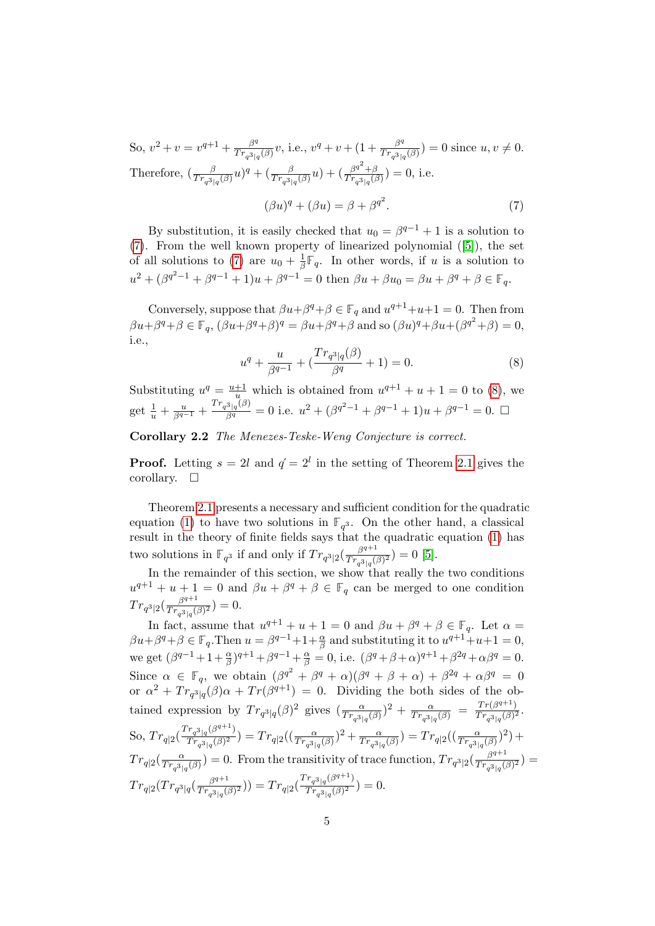So,  $v^2 + v = v^{q+1} + \frac{\beta^q}{Tr}v^q$  $\frac{\beta^q}{Tr_{q^3|q}(\beta)}v$ , i.e.,  $v^q+v+(1+\frac{\beta^q}{Tr_{q^3|q}(\beta)}$  $\frac{\beta^q}{Tr_{q^3|q}(\beta)}$  = 0 since  $u, v \neq 0$ . Therefore,  $\left(\frac{\beta}{Tr_{q^3|q}(\beta)}u\right)^q + \left(\frac{\beta}{Tr_{q^3|q}(\beta)}u\right) + \left(\frac{\beta^{q^2}+\beta}{Tr_{q^3|q}(\beta)}u\right)^q$  $\frac{\beta^{4} + \beta}{Tr_{q^{3}|q}(\beta)}$  = 0, i.e.  $(\beta u)^q + (\beta u) = \beta + {\beta^q}^2$  $(7)$ 

By substitution, it is easily checked that  $u_0 = \beta^{q-1} + 1$  is a solution to [\(7\)](#page-4-0). From the well known property of linearized polynomial ([\[5\]](#page-9-7)), the set of all solutions to [\(7\)](#page-4-0) are  $u_0 + \frac{1}{\beta}$  $\frac{1}{\beta}\mathbb{F}_q$ . In other words, if u is a solution to  $u^2 + (\beta^{q^2-1} + \beta^{q-1} + 1)u + \beta^{q-1} = 0$  then  $\beta u + \beta u_0 = \beta u + \beta^q + \beta \in \mathbb{F}_q$ .

<span id="page-4-1"></span>Conversely, suppose that  $\beta u + \beta^q + \beta \in \mathbb{F}_q$  and  $u^{q+1} + u + 1 = 0$ . Then from  $\beta u + \beta^q + \beta \in \mathbb{F}_q$ ,  $(\beta u + \beta^q + \beta)^q = \beta u + \beta^q + \beta$  and so  $(\beta u)^q + \beta u + (\beta^{q^2} + \beta) = 0$ , i.e.,

<span id="page-4-0"></span>
$$
u^{q} + \frac{u}{\beta^{q-1}} + \left(\frac{Tr_{q^{3}|q}(\beta)}{\beta^{q}} + 1\right) = 0.
$$
 (8)

Substituting  $u^q = \frac{u+1}{u}$  which is obtained from  $u^{q+1} + u + 1 = 0$  to [\(8\)](#page-4-1), we get  $\frac{1}{u} + \frac{u}{\beta^{q-1}} + \frac{Tr_{q^3|q}(\beta)}{\beta^q} = 0$  i.e.  $u^2 + (\beta^{q^2-1} + \beta^{q-1} + 1)u + \beta^{q-1} = 0$ .

Corollary 2.2 The Menezes-Teske-Weng Conjecture is correct.

**Proof.** Letting  $s = 2l$  and  $q' = 2^l$  in the setting of Theorem [2.1](#page-2-5) gives the corollary.  $\square$ 

Theorem [2.1](#page-2-5) presents a necessary and sufficient condition for the quadratic equation [\(1\)](#page-2-0) to have two solutions in  $\mathbb{F}_{q^3}$ . On the other hand, a classical result in the theory of finite fields says that the quadratic equation [\(1\)](#page-2-0) has two solutions in  $\mathbb{F}_{q^3}$  if and only if  $Tr_{q^3|2}(\frac{\beta^{q+1}}{Tr_{q^3|1}})$  $\frac{\beta^{q+1}}{Tr_{q^3|q}(\beta)^2}$  = 0 [\[5\]](#page-9-7).

In the remainder of this section, we show that really the two conditions  $u^{q+1} + u + 1 = 0$  and  $\beta u + \beta^q + \beta \in \mathbb{F}_q$  can be merged to one condition  $Tr_{q^3|2}(\frac{\beta^{q+1}}{Tr_{\beta+1}})$  $\frac{\beta^{q+1}}{Tr_{q^3|q}(\beta)^2}$  = 0.

In fact, assume that  $u^{q+1} + u + 1 = 0$  and  $\beta u + \beta^q + \beta \in \mathbb{F}_q$ . Let  $\alpha =$  $\beta u + \beta^q + \beta \in \mathbb{F}_q$ . Then  $u = \beta^{q-1} + 1 + \frac{\alpha}{\beta}$  and substituting it to  $u^{q+1} + u + 1 = 0$ , we get  $(\beta^{q-1} + 1 + \frac{\alpha}{\beta})^{q+1} + \beta^{q-1} + \frac{\alpha}{\beta} = 0$ , i.e.  $(\beta^q + \beta + \alpha)^{q+1} + \beta^{2q} + \alpha\beta^q = 0$ . Since  $\alpha \in \mathbb{F}_q$ , we obtain  $(\beta^{q^2} + \beta^q + \alpha)(\beta^q + \beta + \alpha) + \beta^{2q} + \alpha\beta^q = 0$ or  $\alpha^2 + Tr_{q^3|q}(\beta)\alpha + Tr(\beta^{q+1}) = 0$ . Dividing the both sides of the obtained expression by  $Tr_{q^3|q}(\beta)^2$  gives  $(\frac{\alpha}{Tr_{q^3|q}(\beta)})^2 + \frac{\alpha}{Tr_{q^3|q}(\beta)}$  $\frac{\alpha}{Tr_{q^3|q}(\beta)} = \frac{Tr(\beta^{q+1})}{Tr_{q^3|q}(\beta)^2}$  $\frac{Tr(\beta^{q+1})}{Tr_{q^3|q}(\beta)^2}.$ So,  $Tr_{q|2}(\frac{Tr_{q^3|q}(\beta^{q+1})}{Tr_{q^3}(\beta)^2}$  $\frac{r_{q^{3}|q}(\beta^{1+-})}{(Tr_{q^{3}|q}(\beta)^2)} = Tr_{q|2}((\frac{\alpha}{Tr_{q^{3}|q}(\beta)})^2 + \frac{\alpha}{Tr_{q^{3}|q}(\beta)}$  $\frac{\alpha}{Tr_{q^3|q}(\beta)}$  =  $Tr_{q|2}((\frac{\alpha}{Tr_{q^3|q}(\beta)})^2)$  +  $Tr_{q|2}(\frac{\alpha}{Tr_{31}})$  $\frac{\alpha}{Tr_{q^3|q}(\beta)}$ ) = 0. From the transitivity of trace function,  $Tr_{q^3|2}(\frac{\beta^{q+1}}{Tr_{q^3|q}(\beta)})$  $\frac{\beta^{q+1}}{Tr_{q^3|q}(\beta)^2}$  =  $Tr_{q|2}(Tr_{q^3|q}(\frac{\beta^{q+1}}{Tr_{-3+1})})$  $\frac{\beta^{q+1}}{Tr_{q^3|q}(\beta)^2})$  =  $Tr_{q|2}(\frac{Tr_{q^3|q}(\beta^{q+1})}{Tr_{q^3|q}(\beta)^2})$  $\frac{T_{q^3|q}(\beta)}{Tr_{q^3|q}(\beta)^2}$  = 0.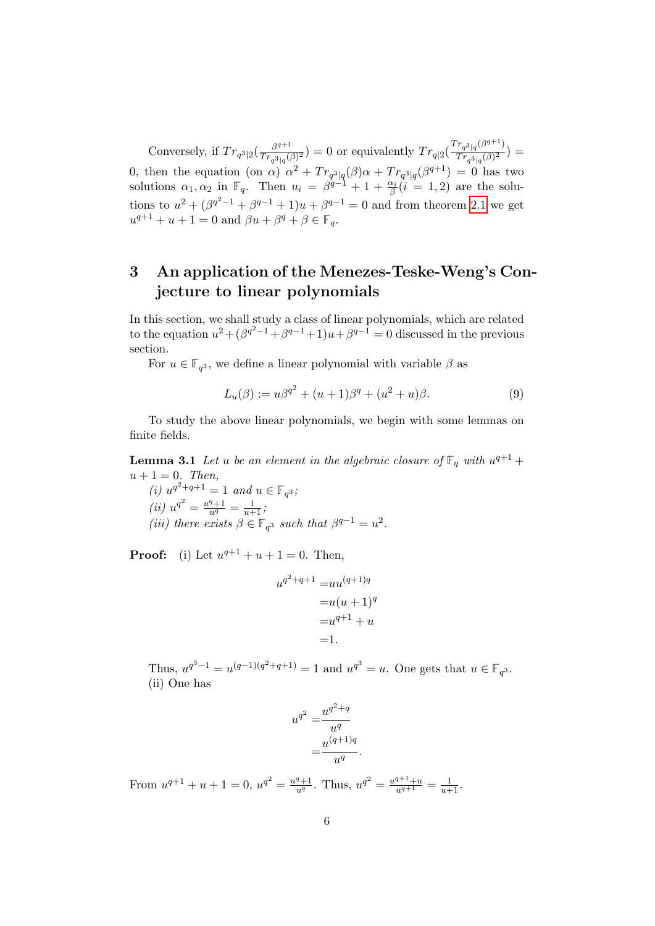Conversely, if  $Tr_{q^3|2}(\frac{\beta^{q+1}}{Tr_{q^3|1}})$  $\frac{\beta^{q+1}}{Tr_{q^3|q}(\beta)^2}$  = 0 or equivalently  $Tr_{q|2}(\frac{Tr_{q^3|q}(\beta^{q+1})}{Tr_{q^3|q}(\beta)^2})$  $\frac{T_{q^3|q}^{Q}}{Tr_{q^3|q}(\beta)^2}$ ) = 0, then the equation (on  $\alpha$ )  $\alpha^2 + Tr_{q^3|q}(\beta)\alpha + Tr_{q^3|q}(\beta^{q+1}) = 0$  has two solutions  $\alpha_1, \alpha_2$  in  $\mathbb{F}_q$ . Then  $u_i = \beta^{q-1} + 1 + \frac{\alpha_i}{\beta} (i = 1, 2)$  are the solutions to  $u^2 + (\beta^{q^2-1} + \beta^{q-1} + 1)u + \beta^{q-1} = 0$  and from theorem [2.1](#page-2-5) we get  $u^{q+1} + u + 1 = 0$  and  $\beta u + \beta^q + \beta \in \mathbb{F}_q$ .

## 3 An application of the Menezes-Teske-Weng's Conjecture to linear polynomials

In this section, we shall study a class of linear polynomials, which are related to the equation  $u^2 + (\beta^{q^2-1} + \beta^{q-1} + 1)u + \beta^{q-1} = 0$  discussed in the previous section.

For  $u \in \mathbb{F}_{q^3}$ , we define a linear polynomial with variable  $\beta$  as

<span id="page-5-1"></span><span id="page-5-0"></span>
$$
L_u(\beta) := u\beta^{q^2} + (u+1)\beta^q + (u^2 + u)\beta.
$$
 (9)

To study the above linear polynomials, we begin with some lemmas on finite fields.

**Lemma 3.1** Let u be an element in the algebraic closure of  $\mathbb{F}_q$  with  $u^{q+1}$  +  $u+1=0$ . Then,

(i)  $u^{q^2+q+1} = 1$  and  $u \in \mathbb{F}_{q^3}$ ; (ii)  $u^{q^2} = \frac{u^q+1}{u^q} = \frac{1}{u+1}$ ; (iii) there exists  $\beta \in \mathbb{F}_{q^3}$  such that  $\beta^{q-1} = u^2$ .

**Proof:** (i) Let  $u^{q+1} + u + 1 = 0$ . Then,

$$
u^{q^2+q+1} = uu^{(q+1)q}
$$

$$
= u(u+1)^q
$$

$$
= u^{q+1} + u
$$

$$
= 1.
$$

Thus,  $u^{q^3-1} = u^{(q-1)(q^2+q+1)} = 1$  and  $u^{q^3} = u$ . One gets that  $u \in \mathbb{F}_{q^3}$ . (ii) One has

$$
u^{q^2} = \frac{u^{q^2+q}}{u^q}
$$

$$
= \frac{u^{(q+1)q}}{u^q}.
$$

From  $u^{q+1} + u + 1 = 0$ ,  $u^{q^2} = \frac{u^q + 1}{u^q}$ . Thus,  $u^{q^2} = \frac{u^{q+1} + u}{u^{q+1}} = \frac{1}{u+1}$ .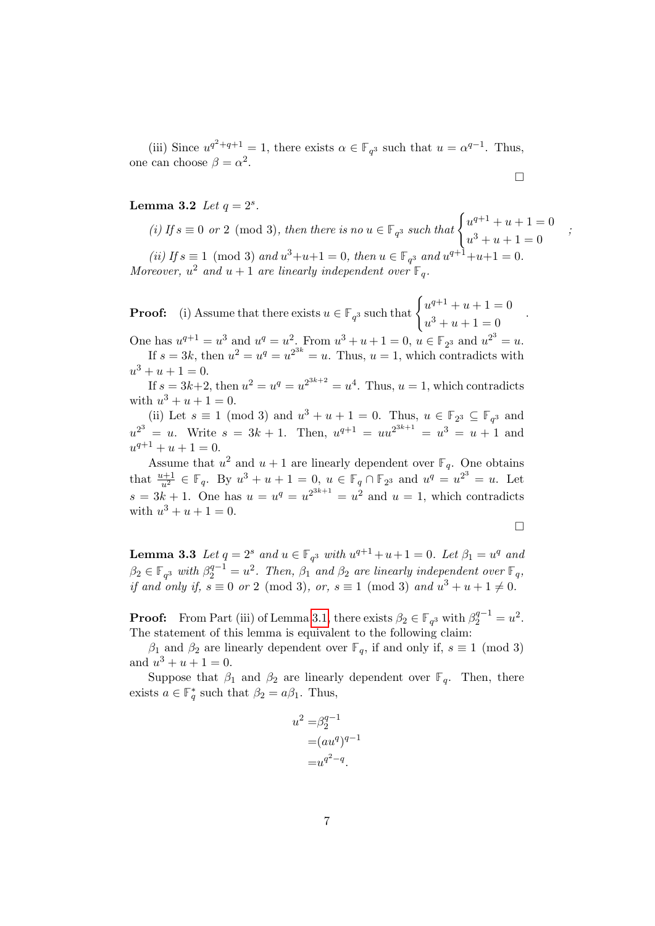(iii) Since  $u^{q^2+q+1} = 1$ , there exists  $\alpha \in \mathbb{F}_{q^3}$  such that  $u = \alpha^{q-1}$ . Thus, one can choose  $\beta = \alpha^2$ .

$$
\Box
$$

;

#### <span id="page-6-0"></span>**Lemma 3.2** *Let*  $q = 2^s$ *.*

(i) If  $s \equiv 0$  or 2 (mod 3), then there is no  $u \in \mathbb{F}_{q^3}$  such that  $\begin{cases} u^{q+1} + u + 1 = 0 \\ u^{3} + u + 1 = 0 \end{cases}$  $u^3 + u + 1 = 0$ (ii) If  $s \equiv 1 \pmod{3}$  and  $u^3 + u + 1 = 0$ , then  $u \in \mathbb{F}_{q^3}$  and  $u^{q+1} + u + 1 = 0$ . Moreover,  $u^2$  and  $u + 1$  are linearly independent over  $\mathbb{F}_q$ .

**Proof:** (i) Assume that there exists  $u \in \mathbb{F}_{q^3}$  such that  $\begin{cases} u^{q+1} + u + 1 = 0 \\ u^{q+1} + u + 1 = 0 \end{cases}$  $u^3 + u + 1 = 0$ 

One has  $u^{q+1} = u^3$  and  $u^q = u^2$ . From  $u^3 + u + 1 = 0$ ,  $u \in \mathbb{F}_{2^3}$  and  $u^{2^3} = u$ . If  $s = 3k$ , then  $u^2 = u^q = u^{2^{3k}} = u$ . Thus,  $u = 1$ , which contradicts with  $u^3 + u + 1 = 0.$ 

If  $s = 3k+2$ , then  $u^2 = u^q = u^{2^{3k+2}} = u^4$ . Thus,  $u = 1$ , which contradicts with  $u^3 + u + 1 = 0$ .

(ii) Let  $s \equiv 1 \pmod{3}$  and  $u^3 + u + 1 = 0$ . Thus,  $u \in \mathbb{F}_{2^3} \subseteq \mathbb{F}_{q^3}$  and  $u^{2^3} = u$ . Write  $s = 3k + 1$ . Then,  $u^{q+1} = uu^{2^{3k+1}} = u^3 = u + 1$  and  $u^{q+1} + u + 1 = 0.$ 

Assume that  $u^2$  and  $u + 1$  are linearly dependent over  $\mathbb{F}_q$ . One obtains that  $\frac{u+1}{u^2} \in \mathbb{F}_q$ . By  $u^3 + u + 1 = 0$ ,  $u \in \mathbb{F}_q \cap \mathbb{F}_{2^3}$  and  $u^q = u^{2^3} = u$ . Let  $s = 3k + 1$ . One has  $u = u^q = u^{2^{3k+1}} = u^2$  and  $u = 1$ , which contradicts with  $u^3 + u + 1 = 0$ .

 $\Box$ 

<span id="page-6-1"></span>**Lemma 3.3** Let  $q = 2^s$  and  $u \in \mathbb{F}_{q^3}$  with  $u^{q+1} + u + 1 = 0$ . Let  $\beta_1 = u^q$  and  $\beta_2 \in \mathbb{F}_{q^3}$  with  $\beta_2^{q-1} = u^2$ . Then,  $\beta_1$  and  $\beta_2$  are linearly independent over  $\mathbb{F}_q$ , if and only if,  $s \equiv 0$  or 2 (mod 3), or,  $s \equiv 1 \pmod{3}$  and  $u^3 + u + 1 \neq 0$ .

**Proof:** From Part (iii) of Lemma [3.1,](#page-5-0) there exists  $\beta_2 \in \mathbb{F}_{q^3}$  with  $\beta_2^{q-1} = u^2$ . The statement of this lemma is equivalent to the following claim:

 $β_1$  and  $β_2$  are linearly dependent over  $\mathbb{F}_q$ , if and only if,  $s \equiv 1 \pmod{3}$ and  $u^3 + u + 1 = 0$ .

Suppose that  $\beta_1$  and  $\beta_2$  are linearly dependent over **F**<sub>q</sub>. Then, there exists  $a \in \mathbb{F}_q^*$  such that  $\beta_2 = a\beta_1$ . Thus,

$$
u2 = \beta2q-1
$$
  
=
$$
(auq)q-1
$$
  
=
$$
uq2-q
$$
.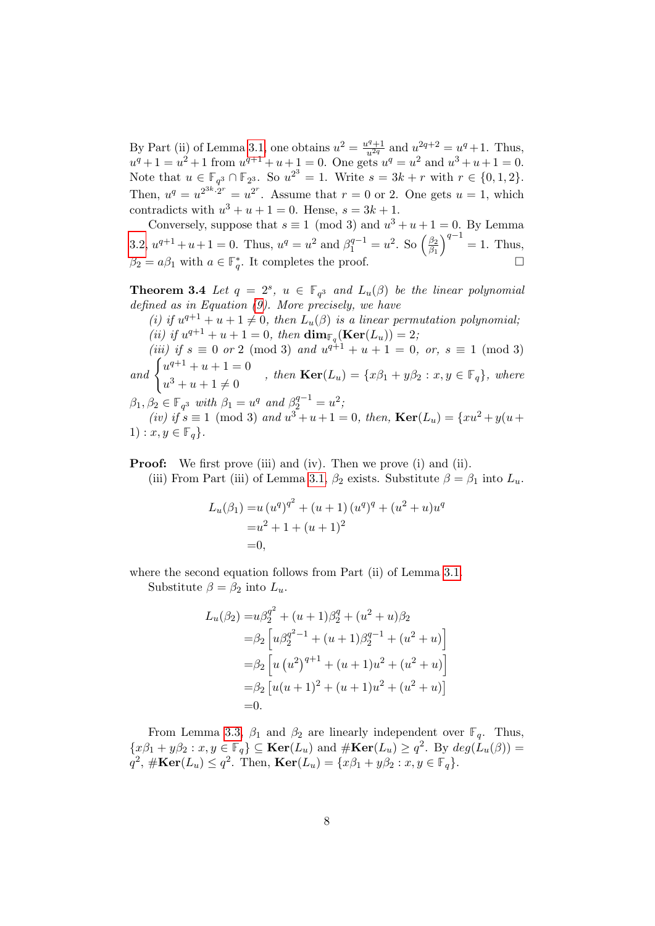By Part (ii) of Lemma [3.1,](#page-5-0) one obtains  $u^2 = \frac{u^q+1}{u^{2q}}$  and  $u^{2q+2} = u^q+1$ . Thus,  $u^q + 1 = u^2 + 1$  from  $u^{q+1} + u + 1 = 0$ . One gets  $u^q = u^2$  and  $u^3 + u + 1 = 0$ . Note that  $u \in \mathbb{F}_{q^3} \cap \mathbb{F}_{2^3}$ . So  $u^{2^3} = 1$ . Write  $s = 3k + r$  with  $r \in \{0, 1, 2\}$ . Then,  $u^q = u^{2^{3k} \cdot 2^r} = u^{2^r}$ . Assume that  $r = 0$  or 2. One gets  $u = 1$ , which contradicts with  $u^3 + u + 1 = 0$ . Hense,  $s = 3k + 1$ .

Conversely, suppose that  $s \equiv 1 \pmod{3}$  and  $u^3 + u + 1 = 0$ . By Lemma [3.2,](#page-6-0)  $u^{q+1} + u + 1 = 0$ . Thus,  $u^q = u^2$  and  $\beta_1^{q-1} = u^2$ . So  $\left(\frac{\beta_2}{\beta_1}\right)$  $\overline{\beta_1}$  $\big)^{q-1} = 1.$  Thus,  $\beta_2 = a\beta_1$  with  $a \in \mathbb{F}_q^*$ . It completes the proof.

<span id="page-7-0"></span>**Theorem 3.4** Let  $q = 2^s$ ,  $u \in \mathbb{F}_{q^3}$  and  $L_u(\beta)$  be the linear polynomial defined as in Equation [\(9\)](#page-5-1). More precisely, we have

(i) if  $u^{q+1} + u + 1 \neq 0$ , then  $L_u(\beta)$  is a linear permutation polynomial; (*ii*) if  $u^{q+1} + u + 1 = 0$ , then  $\dim_{\mathbb{F}_q}(\mathbf{Ker}(L_u)) = 2$ ;

(iii) if  $s \equiv 0$  or 2 (mod 3) and  $u^{q+1} + u + 1 = 0$ , or,  $s \equiv 1 \pmod{3}$ and  $\begin{cases} u^{q+1} + u + 1 = 0 \end{cases}$ 

 $u^3 + u + 1 \neq 0$ , then  $\text{Ker}(L_u) = \{x\beta_1 + y\beta_2 : x, y \in \mathbb{F}_q\}$ , where

 $\beta_1, \beta_2 \in \mathbb{F}_{q^3}$  with  $\beta_1 = u^q$  and  $\beta_2^{q-1} = u^2$ ; (iv) if  $s \equiv 1 \pmod{3}$  and  $u^3 + u + 1 = 0$ , then,  $\text{Ker}(L_u) = \{xu^2 + y(u +$ 1) :  $x, y \in \mathbb{F}_q$ .

**Proof:** We first prove (iii) and (iv). Then we prove (i) and (ii). (iii) From Part (iii) of Lemma [3.1,](#page-5-0)  $\beta_2$  exists. Substitute  $\beta = \beta_1$  into  $L_u$ .

$$
L_u(\beta_1) = u (u^q)^{q^2} + (u+1) (u^q)^q + (u^2 + u)u^q
$$
  
=  $u^2 + 1 + (u+1)^2$   
= 0,

where the second equation follows from Part (ii) of Lemma [3.1.](#page-5-0)

Substitute  $\beta = \beta_2$  into  $L_u$ .

$$
L_u(\beta_2) = u\beta_2^{q^2} + (u+1)\beta_2^q + (u^2+u)\beta_2
$$
  
=  $\beta_2 \left[ u\beta_2^{q^2-1} + (u+1)\beta_2^{q-1} + (u^2+u) \right]$   
=  $\beta_2 \left[ u(u^2)^{q+1} + (u+1)u^2 + (u^2+u) \right]$   
=  $\beta_2 \left[ u(u+1)^2 + (u+1)u^2 + (u^2+u) \right]$   
= 0.

From Lemma [3.3,](#page-6-1)  $\beta_1$  and  $\beta_2$  are linearly independent over  $\mathbb{F}_q$ . Thus,  $\{x\beta_1+y\beta_2:x,y\in\mathbb{F}_q\}\subseteq \textbf{Ker}(L_u)$  and  $\#\textbf{Ker}(L_u)\geq q^2$ . By  $deg(L_u(\beta))=$  $q^2$ ,  $\#\textbf{Ker}(L_u) \leq q^2$ . Then,  $\textbf{Ker}(L_u) = \{x\beta_1 + y\beta_2 : x, y \in \mathbb{F}_q\}.$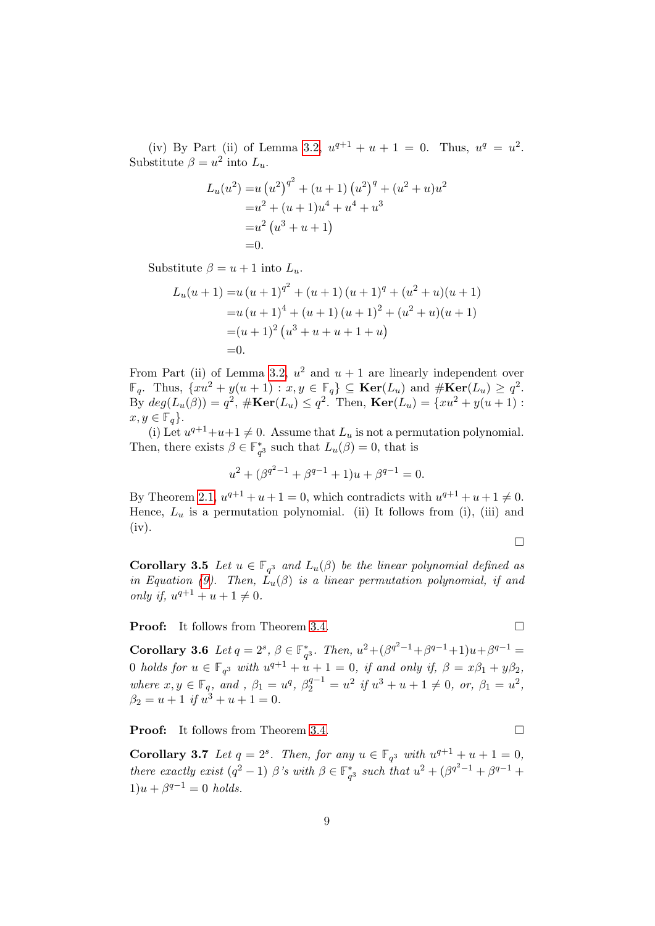(iv) By Part (ii) of Lemma [3.2,](#page-6-0)  $u^{q+1} + u + 1 = 0$ . Thus,  $u^q = u^2$ . Substitute  $\beta = u^2$  into  $L_u$ .

$$
L_u(u^2) = u (u^2)^{q^2} + (u+1) (u^2)^q + (u^2+u)u^2
$$
  
=  $u^2 + (u+1)u^4 + u^4 + u^3$   
=  $u^2 (u^3 + u + 1)$   
= 0.

Substitute  $\beta = u + 1$  into  $L_u$ .

$$
L_u(u + 1) = u (u + 1)^{q^2} + (u + 1) (u + 1)^q + (u^2 + u)(u + 1)
$$
  
=  $u (u + 1)^4 + (u + 1) (u + 1)^2 + (u^2 + u)(u + 1)$   
=  $(u + 1)^2 (u^3 + u + u + 1 + u)$   
= 0.

From Part (ii) of Lemma [3.2,](#page-6-0)  $u^2$  and  $u + 1$  are linearly independent over  $\mathbb{F}_q$ . Thus,  $\{xu^2 + y(u+1) : x, y \in \mathbb{F}_q\} \subseteq \textbf{Ker}(L_u)$  and  $\#\textbf{Ker}(L_u) \geq q^2$ . By  $deg(L_u(\beta)) = q^2$ ,  $\#\text{Ker}(L_u) \leq q^2$ . Then,  $\text{Ker}(L_u) = \{xu^2 + y(u+1) :$  $x, y \in \mathbb{F}_q$ .

(i) Let  $u^{q+1}+u+1 \neq 0$ . Assume that  $L_u$  is not a permutation polynomial. Then, there exists  $\beta \in \mathbb{F}_{q^3}^*$  such that  $L_u(\beta) = 0$ , that is

$$
u^{2} + (\beta^{q^{2}-1} + \beta^{q-1} + 1)u + \beta^{q-1} = 0.
$$

By Theorem [2.1,](#page-2-5)  $u^{q+1} + u + 1 = 0$ , which contradicts with  $u^{q+1} + u + 1 \neq 0$ . Hence,  $L_u$  is a permutation polynomial. (ii) It follows from (i), (iii) and (iv).

 $\Box$ 

**Corollary 3.5** Let  $u \in \mathbb{F}_{q^3}$  and  $L_u(\beta)$  be the linear polynomial defined as in Equation [\(9\)](#page-5-1). Then,  $L_u(\beta)$  is a linear permutation polynomial, if and only if,  $u^{q+1} + u + 1 \neq 0$ .

**Proof:** It follows from Theorem [3.4.](#page-7-0) □

<span id="page-8-0"></span>Corollary 3.6 Let  $q = 2^s$ ,  $\beta \in \mathbb{F}_{q^3}^*$ . Then,  $u^2 + (\beta^{q^2-1} + \beta^{q-1} + 1)u + \beta^{q-1} =$ 0 holds for  $u \in \mathbb{F}_{q^3}$  with  $u^{q+1} + u + 1 = 0$ , if and only if,  $\beta = x\beta_1 + y\beta_2$ , where  $x, y \in \mathbb{F}_q$ , and,  $\beta_1 = u^q$ ,  $\beta_2^{q-1} = u^2$  if  $u^3 + u + 1 \neq 0$ , or,  $\beta_1 = u^2$ ,  $\beta_2 = u + 1$  if  $u^3 + u + 1 = 0$ .

**Proof:** It follows from Theorem [3.4.](#page-7-0) □

**Corollary 3.7** Let  $q = 2^s$ . Then, for any  $u \in \mathbb{F}_{q^3}$  with  $u^{q+1} + u + 1 = 0$ , there exactly exist  $(q^2 - 1)$   $\beta$ 's with  $\beta \in \mathbb{F}_{q^3}^*$  such that  $u^2 + (\beta^{q^2-1} + \beta^{q-1} + \beta^q)$  $1)u + \beta^{q-1} = 0$  holds.